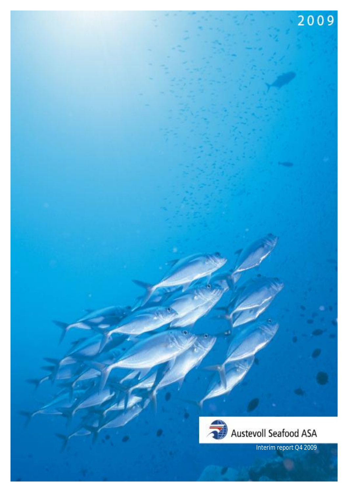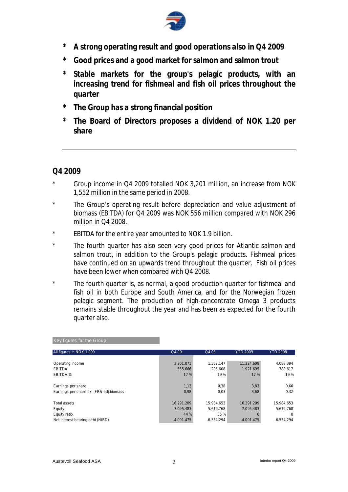

- **\* A strong operating result and good operations also in Q4 2009**
- **\* Good prices and a good market for salmon and salmon trout**
- **\* Stable markets for the group's pelagic products, with an increasing trend for fishmeal and fish oil prices throughout the quarter**
- **\* The Group has a strong financial position**
- **\* The Board of Directors proposes a dividend of NOK 1.20 per share**

# **Q4 2009**

- \* Group income in Q4 2009 totalled NOK 3,201 million, an increase from NOK 1,552 million in the same period in 2008.
- \* The Group's operating result before depreciation and value adjustment of biomass (EBITDA) for Q4 2009 was NOK 556 million compared with NOK 296 million in Q4 2008.
- \* EBITDA for the entire year amounted to NOK 1.9 billion.
- \* The fourth quarter has also seen very good prices for Atlantic salmon and salmon trout, in addition to the Group's pelagic products. Fishmeal prices have continued on an upwards trend throughout the quarter. Fish oil prices have been lower when compared with Q4 2008.
- \* The fourth quarter is, as normal, a good production quarter for fishmeal and fish oil in both Europe and South America, and for the Norwegian frozen pelagic segment. The production of high-concentrate Omega 3 products remains stable throughout the year and has been as expected for the fourth quarter also.

| All figures in NOK 1.000                | Q4 09        | Q4 08        | <b>YTD 2009</b> | <b>YTD 2008</b> |
|-----------------------------------------|--------------|--------------|-----------------|-----------------|
|                                         |              |              |                 |                 |
| Operating income                        | 3.201.071    | 1.552.147    | 11.324.609      | 4.088.394       |
| <b>EBITDA</b>                           | 555.666      | 295.608      | 1.921.695       | 788.617         |
| EBITDA %                                | 17 %         | 19 %         | 17%             | 19 %            |
|                                         |              |              |                 |                 |
| Earnings per share                      | 1,13         | 0,38         | 3,83            | 0,66            |
| Earnings per share ex. IFRS adj.biomass | 0,98         | 0.03         | 3,68            | 0,32            |
|                                         |              |              |                 |                 |
| Total assets                            | 16.291.209   | 15.984.653   | 16.291.209      | 15.984.653      |
| Equity                                  | 7.095.483    | 5.619.768    | 7.095.483       | 5.619.768       |
| Equity ratio                            | 44 %         | 35 %         | $\Omega$        | 0               |
| Net interest bearing debt (NIBD)        | $-4.091.475$ | $-6.554.294$ | $-4.091.475$    | $-6.554.294$    |

#### Key figures for the Group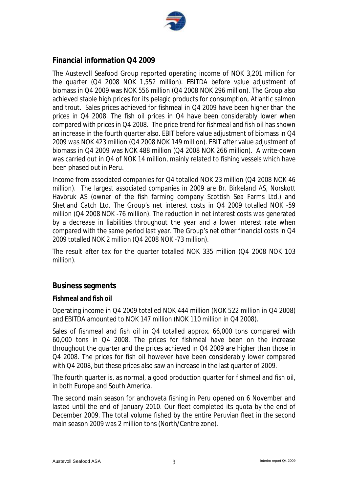

# **Financial information Q4 2009**

The Austevoll Seafood Group reported operating income of NOK 3,201 million for the quarter (Q4 2008 NOK 1,552 million). EBITDA before value adjustment of biomass in Q4 2009 was NOK 556 million (Q4 2008 NOK 296 million). The Group also achieved stable high prices for its pelagic products for consumption, Atlantic salmon and trout. Sales prices achieved for fishmeal in Q4 2009 have been higher than the prices in Q4 2008. The fish oil prices in Q4 have been considerably lower when compared with prices in Q4 2008. The price trend for fishmeal and fish oil has shown an increase in the fourth quarter also. EBIT before value adjustment of biomass in Q4 2009 was NOK 423 million (Q4 2008 NOK 149 million). EBIT after value adjustment of biomass in Q4 2009 was NOK 488 million (Q4 2008 NOK 266 million). A write-down was carried out in Q4 of NOK 14 million, mainly related to fishing vessels which have been phased out in Peru.

Income from associated companies for Q4 totalled NOK 23 million (Q4 2008 NOK 46 million). The largest associated companies in 2009 are Br. Birkeland AS, Norskott Havbruk AS (owner of the fish farming company Scottish Sea Farms Ltd.) and Shetland Catch Ltd. The Group's net interest costs in Q4 2009 totalled NOK -59 million (Q4 2008 NOK -76 million). The reduction in net interest costs was generated by a decrease in liabilities throughout the year and a lower interest rate when compared with the same period last year. The Group's net other financial costs in Q4 2009 totalled NOK 2 million (Q4 2008 NOK -73 million).

The result after tax for the quarter totalled NOK 335 million (Q4 2008 NOK 103 million).

## **Business segments**

## **Fishmeal and fish oil**

Operating income in Q4 2009 totalled NOK 444 million (NOK 522 million in Q4 2008) and EBITDA amounted to NOK 147 million (NOK 110 million in Q4 2008).

Sales of fishmeal and fish oil in Q4 totalled approx. 66,000 tons compared with 60,000 tons in Q4 2008. The prices for fishmeal have been on the increase throughout the quarter and the prices achieved in Q4 2009 are higher than those in Q4 2008. The prices for fish oil however have been considerably lower compared with Q4 2008, but these prices also saw an increase in the last quarter of 2009.

The fourth quarter is, as normal, a good production quarter for fishmeal and fish oil, in both Europe and South America.

The second main season for anchoveta fishing in Peru opened on 6 November and lasted until the end of January 2010. Our fleet completed its quota by the end of December 2009. The total volume fished by the entire Peruvian fleet in the second main season 2009 was 2 million tons (North/Centre zone).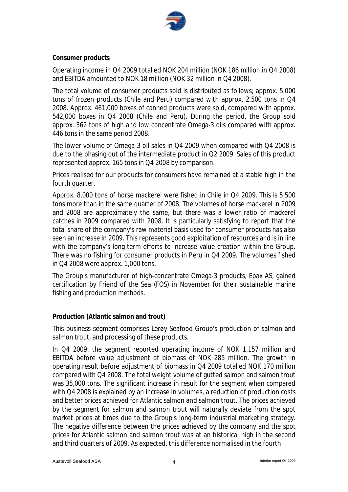

#### **Consumer products**

Operating income in Q4 2009 totalled NOK 204 million (NOK 186 million in Q4 2008) and EBITDA amounted to NOK 18 million (NOK 32 million in Q4 2008).

The total volume of consumer products sold is distributed as follows; approx. 5,000 tons of frozen products (Chile and Peru) compared with approx. 2,500 tons in Q4 2008. Approx. 461,000 boxes of canned products were sold, compared with approx. 542,000 boxes in Q4 2008 (Chile and Peru). During the period, the Group sold approx. 362 tons of high and low concentrate Omega-3 oils compared with approx. 446 tons in the same period 2008.

The lower volume of Omega-3 oil sales in Q4 2009 when compared with Q4 2008 is due to the phasing out of the intermediate product in Q2 2009. Sales of this product represented approx. 165 tons in Q4 2008 by comparison.

Prices realised for our products for consumers have remained at a stable high in the fourth quarter.

Approx. 8,000 tons of horse mackerel were fished in Chile in Q4 2009. This is 5,500 tons more than in the same quarter of 2008. The volumes of horse mackerel in 2009 and 2008 are approximately the same, but there was a lower ratio of mackerel catches in 2009 compared with 2008. It is particularly satisfying to report that the total share of the company's raw material basis used for consumer products has also seen an increase in 2009. This represents good exploitation of resources and is in line with the company's long-term efforts to increase value creation within the Group. There was no fishing for consumer products in Peru in Q4 2009. The volumes fished in Q4 2008 were approx. 1,000 tons.

The Group's manufacturer of high-concentrate Omega-3 products, Epax AS, gained certification by Friend of the Sea (FOS) in November for their sustainable marine fishing and production methods.

#### **Production (Atlantic salmon and trout)**

This business segment comprises Lerøy Seafood Group's production of salmon and salmon trout, and processing of these products.

In Q4 2009, the segment reported operating income of NOK 1,157 million and EBITDA before value adjustment of biomass of NOK 285 million. The growth in operating result before adjustment of biomass in Q4 2009 totalled NOK 170 million compared with Q4 2008. The total weight volume of gutted salmon and salmon trout was 35,000 tons. The significant increase in result for the segment when compared with Q4 2008 is explained by an increase in volumes, a reduction of production costs and better prices achieved for Atlantic salmon and salmon trout. The prices achieved by the segment for salmon and salmon trout will naturally deviate from the spot market prices at times due to the Group's long-term industrial marketing strategy. The negative difference between the prices achieved by the company and the spot prices for Atlantic salmon and salmon trout was at an historical high in the second and third quarters of 2009. As expected, this difference normalised in the fourth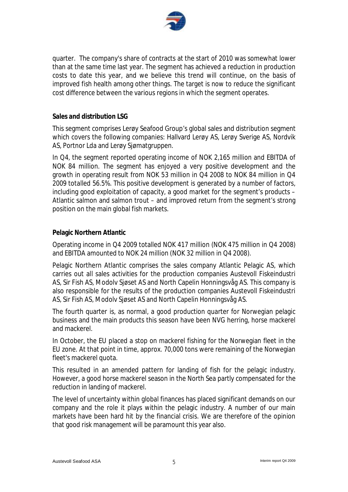

quarter. The company's share of contracts at the start of 2010 was somewhat lower than at the same time last year. The segment has achieved a reduction in production costs to date this year, and we believe this trend will continue, on the basis of improved fish health among other things. The target is now to reduce the significant cost difference between the various regions in which the segment operates.

#### **Sales and distribution LSG**

This segment comprises Lerøy Seafood Group's global sales and distribution segment which covers the following companies: Hallvard Lerøy AS, Lerøy Sverige AS, Nordvik AS, Portnor Lda and Lerøy Sjømatgruppen.

In Q4, the segment reported operating income of NOK 2,165 million and EBITDA of NOK 84 million. The segment has enjoyed a very positive development and the growth in operating result from NOK 53 million in Q4 2008 to NOK 84 million in Q4 2009 totalled 56.5%. This positive development is generated by a number of factors, including good exploitation of capacity, a good market for the segment's products – Atlantic salmon and salmon trout – and improved return from the segment's strong position on the main global fish markets.

#### **Pelagic Northern Atlantic**

Operating income in Q4 2009 totalled NOK 417 million (NOK 475 million in Q4 2008) and EBITDA amounted to NOK 24 million (NOK 32 million in Q4 2008).

Pelagic Northern Atlantic comprises the sales company Atlantic Pelagic AS, which carries out all sales activities for the production companies Austevoll Fiskeindustri AS, Sir Fish AS, Modolv Sjøset AS and North Capelin Honningsvåg AS. This company is also responsible for the results of the production companies Austevoll Fiskeindustri AS, Sir Fish AS, Modolv Sjøset AS and North Capelin Honningsvåg AS.

The fourth quarter is, as normal, a good production quarter for Norwegian pelagic business and the main products this season have been NVG herring, horse mackerel and mackerel.

In October, the EU placed a stop on mackerel fishing for the Norwegian fleet in the EU zone. At that point in time, approx. 70,000 tons were remaining of the Norwegian fleet's mackerel quota.

This resulted in an amended pattern for landing of fish for the pelagic industry. However, a good horse mackerel season in the North Sea partly compensated for the reduction in landing of mackerel.

The level of uncertainty within global finances has placed significant demands on our company and the role it plays within the pelagic industry. A number of our main markets have been hard hit by the financial crisis. We are therefore of the opinion that good risk management will be paramount this year also.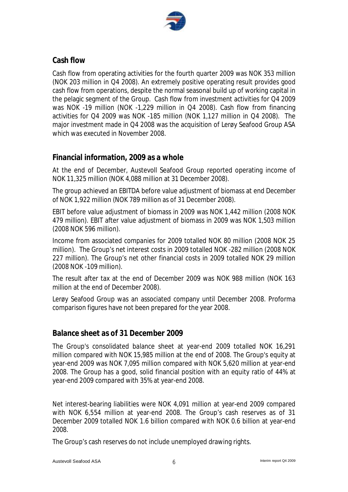

# **Cash flow**

Cash flow from operating activities for the fourth quarter 2009 was NOK 353 million (NOK 203 million in Q4 2008). An extremely positive operating result provides good cash flow from operations, despite the normal seasonal build up of working capital in the pelagic segment of the Group. Cash flow from investment activities for Q4 2009 was NOK -19 million (NOK -1,229 million in Q4 2008). Cash flow from financing activities for Q4 2009 was NOK -185 million (NOK 1,127 million in Q4 2008). The major investment made in Q4 2008 was the acquisition of Lerøy Seafood Group ASA which was executed in November 2008.

# **Financial information, 2009 as a whole**

At the end of December, Austevoll Seafood Group reported operating income of NOK 11,325 million (NOK 4,088 million at 31 December 2008).

The group achieved an EBITDA before value adjustment of biomass at end December of NOK 1,922 million (NOK 789 million as of 31 December 2008).

EBIT before value adjustment of biomass in 2009 was NOK 1,442 million (2008 NOK 479 million). EBIT after value adjustment of biomass in 2009 was NOK 1,503 million (2008 NOK 596 million).

Income from associated companies for 2009 totalled NOK 80 million (2008 NOK 25 million). The Group's net interest costs in 2009 totalled NOK -282 million (2008 NOK 227 million). The Group's net other financial costs in 2009 totalled NOK 29 million (2008 NOK -109 million).

The result after tax at the end of December 2009 was NOK 988 million (NOK 163 million at the end of December 2008).

Lerøy Seafood Group was an associated company until December 2008. Proforma comparison figures have not been prepared for the year 2008.

# **Balance sheet as of 31 December 2009**

The Group's consolidated balance sheet at year-end 2009 totalled NOK 16,291 million compared with NOK 15,985 million at the end of 2008. The Group's equity at year-end 2009 was NOK 7,095 million compared with NOK 5,620 million at year-end 2008. The Group has a good, solid financial position with an equity ratio of 44% at year-end 2009 compared with 35% at year-end 2008.

Net interest-bearing liabilities were NOK 4,091 million at year-end 2009 compared with NOK 6,554 million at year-end 2008. The Group's cash reserves as of 31 December 2009 totalled NOK 1.6 billion compared with NOK 0.6 billion at year-end 2008.

The Group's cash reserves do not include unemployed drawing rights.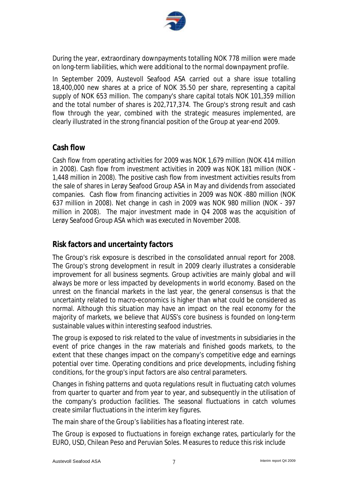

During the year, extraordinary downpayments totalling NOK 778 million were made on long-term liabilities, which were additional to the normal downpayment profile.

In September 2009, Austevoll Seafood ASA carried out a share issue totalling 18,400,000 new shares at a price of NOK 35.50 per share, representing a capital supply of NOK 653 million. The company's share capital totals NOK 101,359 million and the total number of shares is 202,717,374. The Group's strong result and cash flow through the year, combined with the strategic measures implemented, are clearly illustrated in the strong financial position of the Group at year-end 2009.

# **Cash flow**

Cash flow from operating activities for 2009 was NOK 1,679 million (NOK 414 million in 2008). Cash flow from investment activities in 2009 was NOK 181 million (NOK - 1,448 million in 2008). The positive cash flow from investment activities results from the sale of shares in Lerøy Seafood Group ASA in May and dividends from associated companies. Cash flow from financing activities in 2009 was NOK -880 million (NOK 637 million in 2008). Net change in cash in 2009 was NOK 980 million (NOK - 397 million in 2008). The major investment made in Q4 2008 was the acquisition of Lerøy Seafood Group ASA which was executed in November 2008.

# **Risk factors and uncertainty factors**

The Group's risk exposure is described in the consolidated annual report for 2008. The Group's strong development in result in 2009 clearly illustrates a considerable improvement for all business segments. Group activities are mainly global and will always be more or less impacted by developments in world economy. Based on the unrest on the financial markets in the last year, the general consensus is that the uncertainty related to macro-economics is higher than what could be considered as normal. Although this situation may have an impact on the real economy for the majority of markets, we believe that AUSS's core business is founded on long-term sustainable values within interesting seafood industries.

The group is exposed to risk related to the value of investments in subsidiaries in the event of price changes in the raw materials and finished goods markets, to the extent that these changes impact on the company's competitive edge and earnings potential over time. Operating conditions and price developments, including fishing conditions, for the group's input factors are also central parameters.

Changes in fishing patterns and quota regulations result in fluctuating catch volumes from quarter to quarter and from year to year, and subsequently in the utilisation of the company's production facilities. The seasonal fluctuations in catch volumes create similar fluctuations in the interim key figures.

The main share of the Group's liabilities has a floating interest rate.

The Group is exposed to fluctuations in foreign exchange rates, particularly for the EURO, USD, Chilean Peso and Peruvian Soles. Measures to reduce this risk include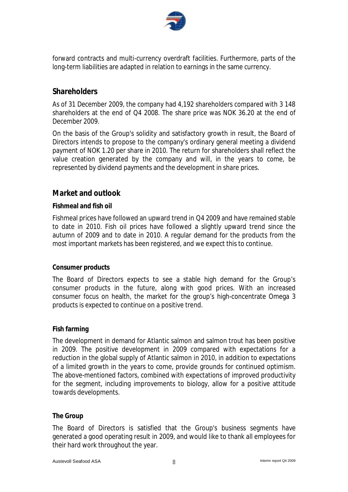

forward contracts and multi-currency overdraft facilities. Furthermore, parts of the long-term liabilities are adapted in relation to earnings in the same currency.

# **Shareholders**

As of 31 December 2009, the company had 4,192 shareholders compared with 3 148 shareholders at the end of Q4 2008. The share price was NOK 36.20 at the end of December 2009.

On the basis of the Group's solidity and satisfactory growth in result, the Board of Directors intends to propose to the company's ordinary general meeting a dividend payment of NOK 1.20 per share in 2010. The return for shareholders shall reflect the value creation generated by the company and will, in the years to come, be represented by dividend payments and the development in share prices.

# **Market and outlook**

## **Fishmeal and fish oil**

Fishmeal prices have followed an upward trend in Q4 2009 and have remained stable to date in 2010. Fish oil prices have followed a slightly upward trend since the autumn of 2009 and to date in 2010. A regular demand for the products from the most important markets has been registered, and we expect this to continue.

## **Consumer products**

The Board of Directors expects to see a stable high demand for the Group's consumer products in the future, along with good prices. With an increased consumer focus on health, the market for the group's high-concentrate Omega 3 products is expected to continue on a positive trend.

## **Fish farming**

The development in demand for Atlantic salmon and salmon trout has been positive in 2009. The positive development in 2009 compared with expectations for a reduction in the global supply of Atlantic salmon in 2010, in addition to expectations of a limited growth in the years to come, provide grounds for continued optimism. The above-mentioned factors, combined with expectations of improved productivity for the segment, including improvements to biology, allow for a positive attitude towards developments.

## **The Group**

The Board of Directors is satisfied that the Group's business segments have generated a good operating result in 2009, and would like to thank all employees for their hard work throughout the year.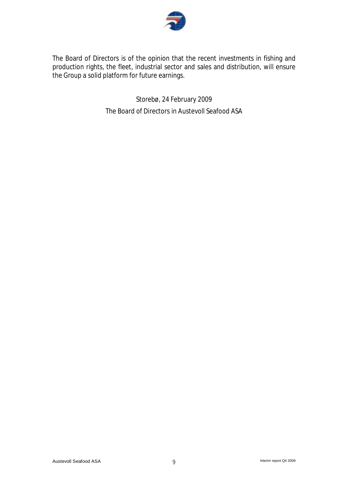

The Board of Directors is of the opinion that the recent investments in fishing and production rights, the fleet, industrial sector and sales and distribution, will ensure the Group a solid platform for future earnings.

> Storebø, 24 February 2009 The Board of Directors in Austevoll Seafood ASA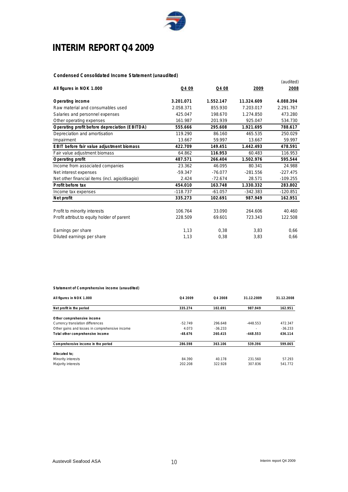

# **INTERIM REPORT Q4 2009**

#### **Condensed Consolidated Income Statement (unaudited)**

| All figures in NOK 1.000                       | Q4 09      | Q4 08     | 2009       | (audited)<br>2008 |
|------------------------------------------------|------------|-----------|------------|-------------------|
|                                                |            |           |            |                   |
| Operating income                               | 3.201.071  | 1.552.147 | 11.324.609 | 4.088.394         |
| Raw material and consumables used              | 2.058.371  | 855.930   | 7.203.017  | 2.291.767         |
| Salaries and personnel expenses                | 425.047    | 198.670   | 1.274.850  | 473.280           |
| Other operating expenses                       | 161.987    | 201.939   | 925.047    | 534.730           |
| Operating profit before depreciation (EBITDA)  | 555.666    | 295.608   | 1.921.695  | 788.617           |
| Depreciation and amortisation                  | 119.290    | 86.160    | 465.535    | 250.029           |
| Impairment                                     | 13.667     | 59.997    | 13.667     | 59.997            |
| EBIT before fair value adjustment biomass      | 422.709    | 149.451   | 1.442.493  | 478.591           |
| Fair value adjustment biomass                  | 64.862     | 116.953   | 60.483     | 116.953           |
| Operating profit                               | 487.571    | 266.404   | 1.502.976  | 595.544           |
| Income from associated companies               | 23.362     | 46.095    | 80.341     | 24.988            |
| Net interest expenses                          | $-59.347$  | $-76.077$ | $-281.556$ | $-227.475$        |
| Net other financial items (incl. agio/disagio) | 2.424      | $-72.674$ | 28.571     | $-109.255$        |
| Profit before tax                              | 454.010    | 163.748   | 1.330.332  | 283.802           |
| Income tax expenses                            | $-118.737$ | $-61.057$ | $-342.383$ | $-120.851$        |
| Net profit                                     | 335.273    | 102.691   | 987.949    | 162.951           |
|                                                |            |           |            |                   |
| Profit to minority interests                   | 106.764    | 33.090    | 264.606    | 40.460            |
| Profit attribut to equity holder of parent     | 228.509    | 69.601    | 723.343    | 122.508           |
| Earnings per share                             | 1,13       | 0,38      | 3,83       | 0,66              |
| Diluted earnings per share                     | 1,13       | 0.38      | 3,83       | 0.66              |

#### **Statement of Comprehensive income (unaudited)**

| All figures in NOK 1.000                       | O <sub>4</sub> 2009 | Q4 2008   | 31.12.2009 | 31.12.2008 |
|------------------------------------------------|---------------------|-----------|------------|------------|
| Net profit in the period                       | 335.274             | 102.691   | 987.949    | 162.951    |
| Other comprehensive income                     |                     |           |            |            |
| Currency translation differences               | $-52.749$           | 296.648   | $-448.553$ | 472.347    |
| Other gains and losses in comprehensive income | 4.073               | $-36.233$ |            | $-36.233$  |
| Total other comprehensive income               | $-48.676$           | 260.415   | $-448.553$ | 436.114    |
| Comprehensive income in the period             | 286.598             | 363.106   | 539.396    | 599.065    |
| Allocated to:                                  |                     |           |            |            |
| Minority interests                             | 84.390              | 40.178    | 231.560    | 57.293     |
| Majority interests                             | 202.208             | 322.928   | 307.836    | 541.772    |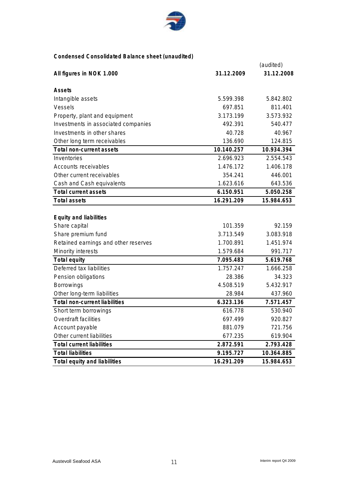

## **Condensed Consolidated Balance sheet (unaudited)**

|                                      |            | (audited)  |
|--------------------------------------|------------|------------|
| All figures in NOK 1.000             | 31.12.2009 | 31.12.2008 |
|                                      |            |            |
| Assets                               |            |            |
| Intangible assets                    | 5.599.398  | 5.842.802  |
| <b>Vessels</b>                       | 697.851    | 811.401    |
| Property, plant and equipment        | 3.173.199  | 3.573.932  |
| Investments in associated companies  | 492.391    | 540.477    |
| Investments in other shares          | 40.728     | 40.967     |
| Other long term receivables          | 136.690    | 124.815    |
| Total non-current assets             | 10.140.257 | 10.934.394 |
| Inventories                          | 2.696.923  | 2.554.543  |
| Accounts receivables                 | 1.476.172  | 1.406.178  |
| Other current receivables            | 354.241    | 446.001    |
| Cash and Cash equivalents            | 1.623.616  | 643.536    |
| <b>Total current assets</b>          | 6.150.951  | 5.050.258  |
| <b>Total assets</b>                  | 16.291.209 | 15.984.653 |
|                                      |            |            |
| Equity and liabilities               |            |            |
| Share capital                        | 101.359    | 92.159     |
| Share premium fund                   | 3.713.549  | 3.083.918  |
| Retained earnings and other reserves | 1.700.891  | 1.451.974  |
| <b>Minority interests</b>            | 1.579.684  | 991.717    |
| Total equity                         | 7.095.483  | 5.619.768  |
| Deferred tax liabilities             | 1.757.247  | 1.666.258  |
| Pension obligations                  | 28.386     | 34.323     |
| <b>Borrowings</b>                    | 4.508.519  | 5.432.917  |
| Other long-term liabilities          | 28.984     | 437.960    |
| Total non-current liabilities        | 6.323.136  | 7.571.457  |
| Short term borrowings                | 616.778    | 530.940    |
| Overdraft facilities                 | 697.499    | 920.827    |
| Account payable                      | 881.079    | 721.756    |
| Other current liabilities            | 677.235    | 619.904    |
| <b>Total current liabilities</b>     | 2.872.591  | 2.793.428  |
| <b>Total liabilities</b>             | 9.195.727  | 10.364.885 |
| Total equity and liabilities         | 16.291.209 | 15.984.653 |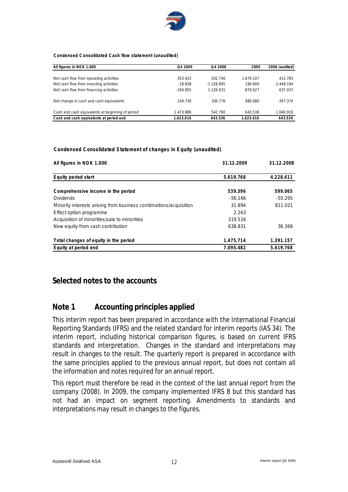

**Condensed Consolidated Cash flow statement (unaudited)**

| All figures in NOK 1.000                         | O <sub>4</sub> 2009 | O <sub>4</sub> 2008 | 2009       | 2008 (audited) |
|--------------------------------------------------|---------------------|---------------------|------------|----------------|
|                                                  |                     |                     |            |                |
| Net cash flow from operating activities          | 353.423             | 202.740             | 1.679.107  | 413.783        |
| Net cash flow from investing activities          | $-18.838$           | $-1.228.895$        | 180.600    | $-1.448.194$   |
| Net cash flow from financing activities          | $-184.855$          | 1.126.931           | $-879.627$ | 637.037        |
| Net change in cash and cash equivalents          | 149.730             | 100.776             | 980.080    | $-397.374$     |
| Cash and cash equivalents at beginning of period | 1.473.886           | 542.760             | 643.536    | 1.040.910      |
| Cash and cash equivalents at period end          | 1.623.616           | 643.536             | 1.623.616  | 643.536        |

#### **Condensed Consolidated Statement of changes in Equity (unaudited)**

| All figures in NOK 1.000                                          | 31.12.2009 | 31.12.2008 |  |
|-------------------------------------------------------------------|------------|------------|--|
|                                                                   |            |            |  |
| Equity period start                                               | 5.619.768  | 4.228.611  |  |
|                                                                   |            |            |  |
| Comprehensive income in the period                                | 539.396    | 599.065    |  |
| <b>Dividends</b>                                                  | $-56.166$  | $-55.295$  |  |
| Minority interests arising from business combinations/acquisition | 31.894     | 811.021    |  |
| Effect option programme                                           | 2.243      |            |  |
| Acquisition of minorities/sale to minorities                      | 319.516    |            |  |
| New equity from cash contribution                                 | 638.831    | 36.366     |  |
| Total changes of equity in the period                             | 1.475.714  | 1.391.157  |  |
| Equity at period end                                              | 7.095.482  | 5.619.768  |  |

## **Selected notes to the accounts**

## **Note 1 Accounting principles applied**

This interim report has been prepared in accordance with the International Financial Reporting Standards (IFRS) and the related standard for interim reports (IAS 34). The interim report, including historical comparison figures, is based on current IFRS standards and interpretation. Changes in the standard and interpretations may result in changes to the result. The quarterly report is prepared in accordance with the same principles applied to the previous annual report, but does not contain all the information and notes required for an annual report.

This report must therefore be read in the context of the last annual report from the company (2008). In 2009, the company implemented IFRS 8 but this standard has not had an impact on segment reporting. Amendments to standards and interpretations may result in changes to the figures.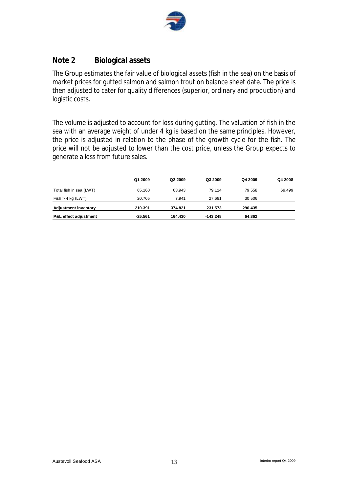

# **Note 2 Biological assets**

The Group estimates the fair value of biological assets (fish in the sea) on the basis of market prices for gutted salmon and salmon trout on balance sheet date. The price is then adjusted to cater for quality differences (superior, ordinary and production) and logistic costs.

The volume is adjusted to account for loss during gutting. The valuation of fish in the sea with an average weight of under 4 kg is based on the same principles. However, the price is adjusted in relation to the phase of the growth cycle for the fish. The price will not be adjusted to lower than the cost price, unless the Group expects to generate a loss from future sales.

|                                  | Q1 2009   | Q <sub>2</sub> 2009 | Q3 2009  | Q4 2009 | Q4 2008 |
|----------------------------------|-----------|---------------------|----------|---------|---------|
| Total fish in sea (LWT)          | 65.160    | 63.943              | 79.114   | 79.558  | 69.499  |
| Fish > 4 kg (LWT)                | 20.705    | 7.941               | 27.691   | 30.506  |         |
| <b>Adjustment inventory</b>      | 210.391   | 374.821             | 231.573  | 296.435 |         |
| <b>P&amp;L effect adjustment</b> | $-25.561$ | 164.430             | -143.248 | 64.862  |         |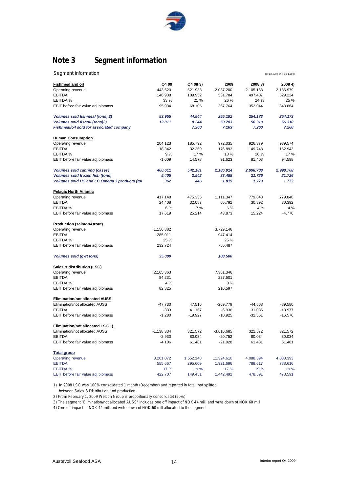

# **Note 3 Segment information**

| Segment information | (all amounts in NOK 1.000) |
|---------------------|----------------------------|
|---------------------|----------------------------|

|                                              | Q4 09        |                     | 2009         |                      | 2008 4)   |
|----------------------------------------------|--------------|---------------------|--------------|----------------------|-----------|
| <b>Fishmeal and oil</b><br>Operating revenue | 443.620      | Q4 08 3)<br>521.933 | 2.037.200    | 2008 3)<br>2.105.163 | 2.136.979 |
| <b>EBITDA</b>                                | 146.938      | 109.952             | 531.784      | 497.407              | 529.224   |
| EBITDA %                                     | 33 %         | 21 %                | 26 %         | 24 %                 | 25 %      |
| EBIT before fair value adj.biomass           | 95.934       | 68.105              | 367.764      | 352.044              | 343.864   |
|                                              |              |                     |              |                      |           |
| Volumes sold fishmeal (tons) 2)              | 53.955       | 44.544              | 255.192      | 254.173              | 254.173   |
| Volumes sold fishoil (tons)2)                | 12.011       | 8.244               | 59.783       | 56.310               | 56.310    |
| Fishmeal/oil sold for associated company     |              | 7.260               | 7.163        | 7.260                | 7.260     |
| <b>Human Consumption</b>                     |              |                     |              |                      |           |
| Operating revenue                            | 204.123      | 185.792             | 972.035      | 926.379              | 939.574   |
| <b>EBITDA</b>                                | 18.342       | 32.369              | 176.893      | 149.748              | 162.943   |
| EBITDA %                                     | 9%           | 17 %                | 18%          | 16%                  | 17%       |
| EBIT before fair value adj.biomass           | $-1.009$     | 14.578              | 91.623       | 81.403               | 94.598    |
| <b>Volumes sold canning (cases)</b>          | 460.611      | 542.181             | 2.186.014    | 2.998.708            | 2.998.708 |
| Volumes sold frozen fish (tons)              | 5.405        | 2.542               | 33.488       | 21.726               | 21.726    |
| Volumes sold HC and LC Omega 3 products (to  | 362          | 446                 | 1.815        | 1.773                | 1.773     |
| <b>Pelagic North Atlantic</b>                |              |                     |              |                      |           |
| Operating revenue                            | 417.148      | 475.335             | 1.111.347    | 779.848              | 779.848   |
| <b>EBITDA</b>                                | 24.408       | 32.087              | 65.792       | 30.392               | 30.392    |
| EBITDA %                                     | 6 %          | 7%                  | 6 %          | 4 %                  | 4 %       |
| EBIT before fair value adj.biomass           | 17.619       | 25.214              | 43.873       | 15.224               | $-4.776$  |
| <b>Production (salmon&amp;trout)</b>         |              |                     |              |                      |           |
| Operating revenue                            | 1.156.882    |                     | 3.729.146    |                      |           |
| <b>EBITDA</b>                                | 285.011      |                     | 947.414      |                      |           |
| EBITDA %                                     | 25 %         |                     | 25 %         |                      |           |
| EBIT before fair value adj.biomass           | 232.724      |                     | 755.487      |                      |           |
| <b>Volumes sold (gwt tons)</b>               | 35.000       |                     | 108,500      |                      |           |
| <b>Sales &amp; distribution (LSG)</b>        |              |                     |              |                      |           |
| Operating revenue                            | 2.165.363    |                     | 7.361.346    |                      |           |
| <b>EBITDA</b>                                | 84.231       |                     | 227.501      |                      |           |
| EBITDA %                                     | 4 %          |                     | 3%           |                      |           |
| EBIT before fair value adj.biomass           | 82.825       |                     | 216.597      |                      |           |
| <b>Elimination/not allocated AUSS</b>        |              |                     |              |                      |           |
| Elimination/not allocated AUSS               | $-47.730$    | 47.516              | $-269.779$   | $-44.568$            | $-89.580$ |
| <b>EBITDA</b>                                | $-333$       | 41.167              | $-6.936$     | 31.036               | $-13.977$ |
| EBIT before fair value adj.biomass           | $-1.280$     | $-19.927$           | $-10.925$    | $-31.561$            | $-16.576$ |
| <b>Elimination/not allocated LSG 1)</b>      |              |                     |              |                      |           |
| Elimination/not allocated AUSS               | $-1.138.334$ | 321.572             | $-3.616.685$ | 321.572              | 321.572   |
| <b>EBITDA</b>                                | $-2.930$     | 80.034              | $-20.752$    | 80.034               | 80.034    |
| EBIT before fair value adj.biomass           | $-4.106$     | 61.481              | $-21.928$    | 61.481               | 61.481    |
| <b>Total group</b>                           |              |                     |              |                      |           |
| Operating revenue                            | 3.201.072    | 1.552.148           | 11.324.610   | 4.088.394            | 4.088.393 |
| <b>EBITDA</b>                                | 555.667      | 295.609             | 1.921.696    | 788.617              | 788.616   |
| <b>EBITDA %</b>                              | 17 %         | 19 %                | 17%          | 19%                  | 19%       |
| EBIT before fair value adj.biomass           | 422.707      | 149.451             | 1.442.491    | 478.591              | 478.591   |

1) In 2008 LSG was 100% consolidated 1 month (December) and reported in total, not splitted

between Sales & Distribution and production

2) From February 1, 2009 Welcon Group is proportionally consolidatet (50%)

3) The segment "Elimination/not allocated AUSS" includes one off impact of NOK 44 mill, and write down of NOK 60 mill

4) One off impact of NOK 44 mill and write down of NOK 60 mill allocated to the segments